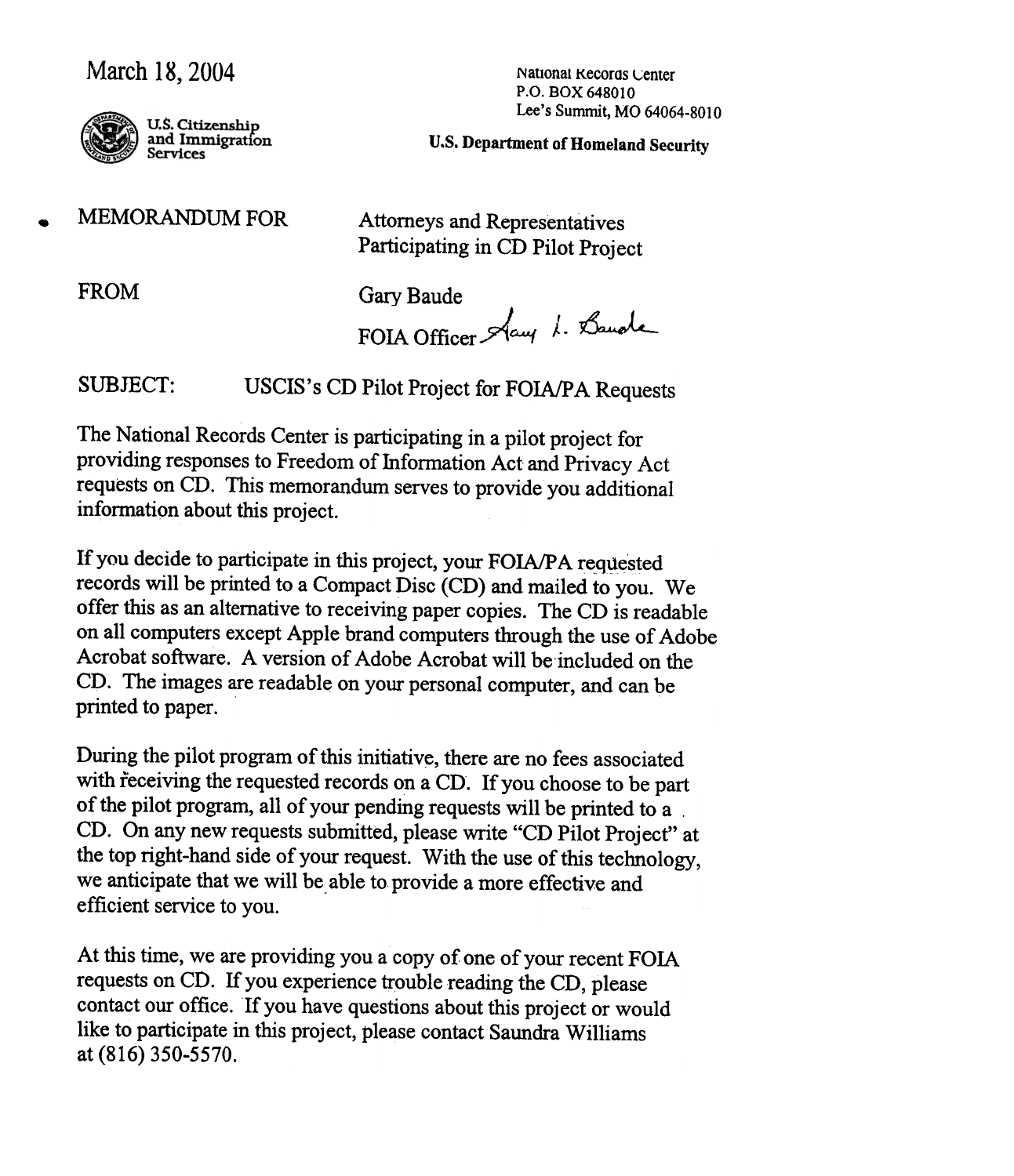## March 18, 2004 National Kecoras Center



U.S. Citizenship<br>and Immigration **Services** 

P.O. BOX 648010 Lee's Summit, MO 64064-8010

U.S. Department of Homeland Security

.

MEMORANDUM FOR Attorneys and Representatives Participating in CD Pilot Project

FROM Gary Baude

FOIA Officer Stay 1. Bande

SUBJECT: USCIS's CD Pilot Project for FOIA/PA Requests

The National Records Center is participating in a pilot project for providing responses to Freedom of Information Act and Privacy Act requests on CD. This memorandum serves to provide you additional information about this project.

If you decide to participate in this project, your FOIA/PA requested records will be printed to a Compact Disc (CD) and mailed to you. We offer this as an alternative to receiving paper copies. The CD is readable on all computers except Apple brand computers through the use of Adobe Acrobat software. A version of Adobe Acrobat will be'included on the CD. The images are readable on your personal computer, and can be printed to paper.

During the pilot program of this initiative, there are no fees associated with receiving the requested records on a CD. If you choose to be part of the pilot program, all of your pending requests will be printed to a , CD. On any new requests submitted, please write "CD Pilot Project" at the top right-hand side of your request. With the use of this technology , we anticipate that we will be able to provide a more effective and efficient service to you.

At this time, we are providing you a copy of one of your recent FOIA requests on CD. If you experience trouble reading the CD, please contact our office. If you have questions about this project or would like to participate in this project, please contact Saundra Williams at (816) 350-5570.